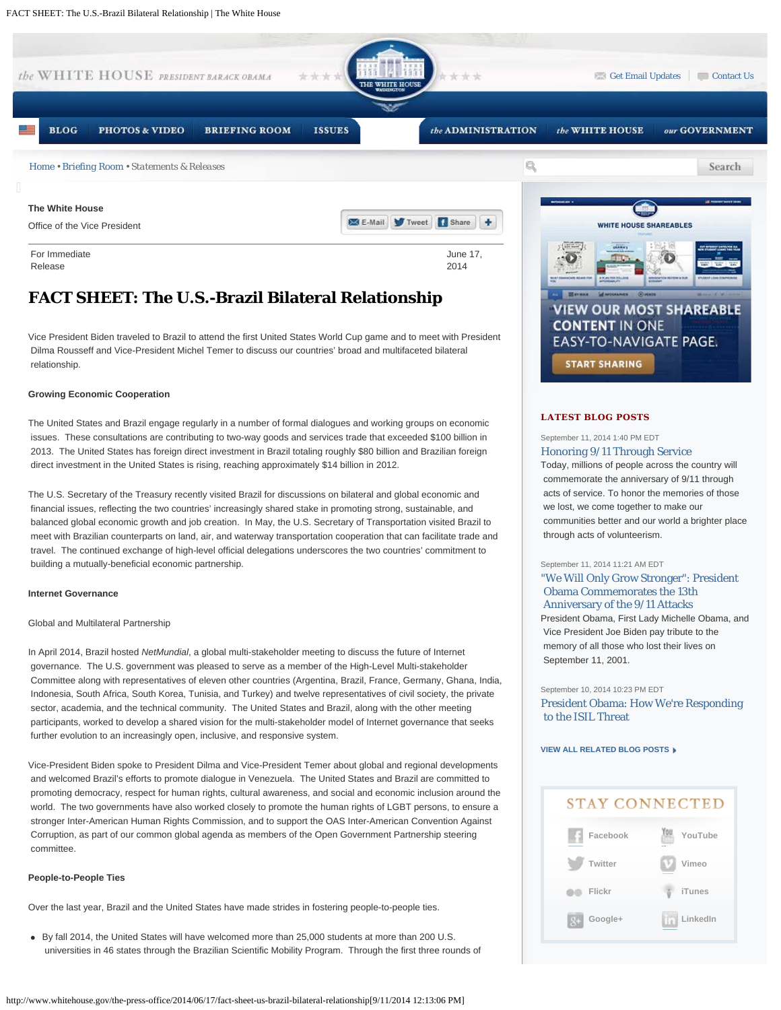

# **FACT SHEET: The U.S.-Brazil Bilateral Relationship**

Vice President Biden traveled to Brazil to attend the first United States World Cup game and to meet with President Dilma Rousseff and Vice-President Michel Temer to discuss our countries' broad and multifaceted bilateral relationship.

## **Growing Economic Cooperation**

The United States and Brazil engage regularly in a number of formal dialogues and working groups on economic issues. These consultations are contributing to two-way goods and services trade that exceeded \$100 billion in 2013. The United States has foreign direct investment in Brazil totaling roughly \$80 billion and Brazilian foreign direct investment in the United States is rising, reaching approximately \$14 billion in 2012.

The U.S. Secretary of the Treasury recently visited Brazil for discussions on bilateral and global economic and financial issues, reflecting the two countries' increasingly shared stake in promoting strong, sustainable, and balanced global economic growth and job creation. In May, the U.S. Secretary of Transportation visited Brazil to meet with Brazilian counterparts on land, air, and waterway transportation cooperation that can facilitate trade and travel. The continued exchange of high-level official delegations underscores the two countries' commitment to building a mutually-beneficial economic partnership.

## **Internet Governance**

## Global and Multilateral Partnership

In April 2014, Brazil hosted *NetMundial*, a global multi-stakeholder meeting to discuss the future of Internet governance. The U.S. government was pleased to serve as a member of the High-Level Multi-stakeholder Committee along with representatives of eleven other countries (Argentina, Brazil, France, Germany, Ghana, India, Indonesia, South Africa, South Korea, Tunisia, and Turkey) and twelve representatives of civil society, the private sector, academia, and the technical community. The United States and Brazil, along with the other meeting participants, worked to develop a shared vision for the multi-stakeholder model of Internet governance that seeks further evolution to an increasingly open, inclusive, and responsive system.

Vice-President Biden spoke to President Dilma and Vice-President Temer about global and regional developments and welcomed Brazil's efforts to promote dialogue in Venezuela. The United States and Brazil are committed to promoting democracy, respect for human rights, cultural awareness, and social and economic inclusion around the world. The two governments have also worked closely to promote the human rights of LGBT persons, to ensure a stronger Inter-American Human Rights Commission, and to support the OAS Inter-American Convention Against Corruption, as part of our common global agenda as members of the Open Government Partnership steering committee.

## **People-to-People Ties**

Over the last year, Brazil and the United States have made strides in fostering people-to-people ties.

By fall 2014, the United States will have welcomed more than 25,000 students at more than 200 U.S. universities in 46 states through the Brazilian Scientific Mobility Program. Through the first three rounds of



## **LATEST BLOG POSTS**

## September 11, 2014 1:40 PM EDT [Honoring 9/11 Through Service](http://www.whitehouse.gov/blog/2014/09/11/honoring-911-through-service)

Today, millions of people across the country will commemorate the anniversary of 9/11 through acts of service. To honor the memories of those we lost, we come together to make our communities better and our world a brighter place through acts of volunteerism.

#### September 11, 2014 11:21 AM EDT

## ["We Will Only Grow Stronger": President](http://www.whitehouse.gov/blog/2014/09/11/we-will-only-grow-stronger-president-obama-commemorates-13th-anniversary-911-attacks)  [Obama Commemorates the 13th](http://www.whitehouse.gov/blog/2014/09/11/we-will-only-grow-stronger-president-obama-commemorates-13th-anniversary-911-attacks)  [Anniversary of the 9/11 Attacks](http://www.whitehouse.gov/blog/2014/09/11/we-will-only-grow-stronger-president-obama-commemorates-13th-anniversary-911-attacks) President Obama, First Lady Michelle Obama, and

 Vice President Joe Biden pay tribute to the memory of all those who lost their lives on September 11, 2001.

#### September 10, 2014 10:23 PM EDT

[President Obama: How We're Responding](http://www.whitehouse.gov/blog/2014/09/10/president-obama-how-were-responding-isil-threat)  [to the ISIL Threat](http://www.whitehouse.gov/blog/2014/09/10/president-obama-how-were-responding-isil-threat)

**[VIEW ALL RELATED BLOG POSTS](http://www.whitehouse.gov/blog/issues/all)**

# **STAY CONNECTED [Facebook](http://www.facebook.com/whitehouse) [YouTube](http://www.youtube.com/whitehouse) [Twitter](http://www.twitter.com/whitehouse) [Vimeo](http://www.vimeo.com/whitehouse) [Flickr](http://www.flickr.com/whitehouse) [iTunes](http://itunes.apple.com/WebObjects/MZStore.woa/wa/viewArtist?id=299652047) [LinkedIn](http://www.linkedin.com/groups/White-House-2199632?gid=2199632&mostPopular=&trk=tyah) [Google+](http://plus.google.com/+whitehouse)**